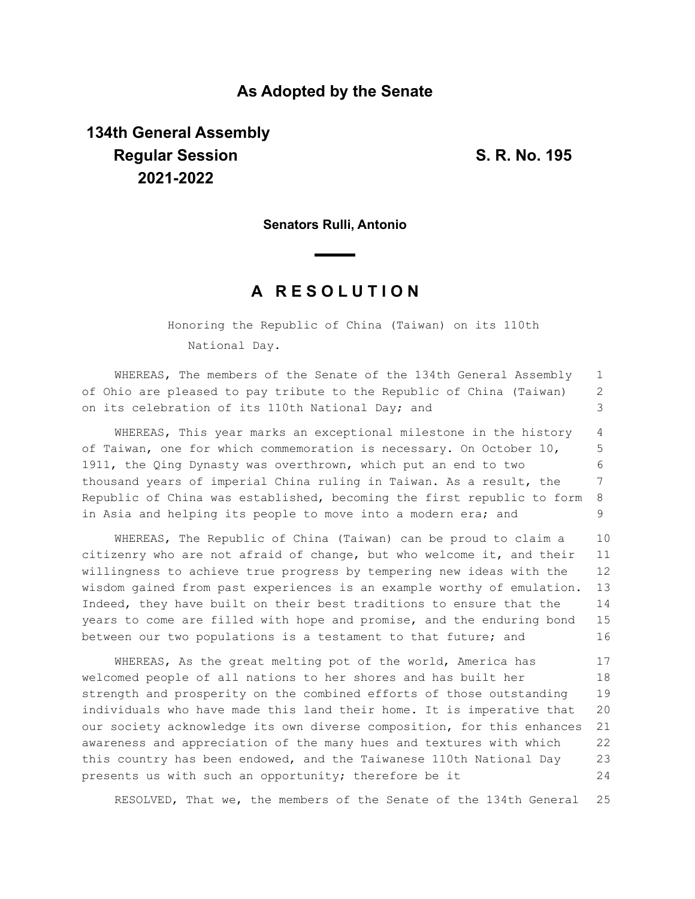### **As Adopted by the Senate**

# **134th General Assembly Regular Session S. R. No. 195 2021-2022**

**Senators Rulli, Antonio**

## **A R E S O L U T I O N**

Honoring the Republic of China (Taiwan) on its 110th National Day.

WHEREAS, The members of the Senate of the 134th General Assembly of Ohio are pleased to pay tribute to the Republic of China (Taiwan) on its celebration of its 110th National Day; and 1 2 3

WHEREAS, This year marks an exceptional milestone in the history of Taiwan, one for which commemoration is necessary. On October 10, 1911, the Qing Dynasty was overthrown, which put an end to two thousand years of imperial China ruling in Taiwan. As a result, the Republic of China was established, becoming the first republic to form in Asia and helping its people to move into a modern era; and 4 5 6 7 8 9

WHEREAS, The Republic of China (Taiwan) can be proud to claim a citizenry who are not afraid of change, but who welcome it, and their willingness to achieve true progress by tempering new ideas with the wisdom gained from past experiences is an example worthy of emulation. Indeed, they have built on their best traditions to ensure that the years to come are filled with hope and promise, and the enduring bond between our two populations is a testament to that future; and 10 11 12 13 14 15 16

WHEREAS, As the great melting pot of the world, America has welcomed people of all nations to her shores and has built her strength and prosperity on the combined efforts of those outstanding individuals who have made this land their home. It is imperative that our society acknowledge its own diverse composition, for this enhances awareness and appreciation of the many hues and textures with which this country has been endowed, and the Taiwanese 110th National Day presents us with such an opportunity; therefore be it 17 18 19 20 21 22 23 24

RESOLVED, That we, the members of the Senate of the 134th General 25